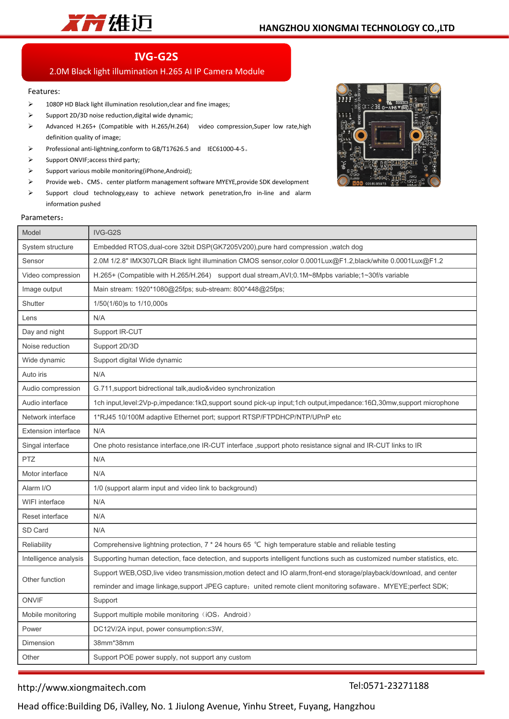

# **IVG-G2S**

# 2.0M Black light illumination H.265 AI IP Camera Module

## Features:

- > 1080P HD Black light illumination resolution, clear and fine images;
- $\triangleright$  Support 2D/3D noise reduction, digital wide dynamic;
- Advanced H.265+ (Compatible with H.265/H.264) video compression,Super low rate,high definition quality of image;
- Professional anti-lightning,conform to GB/T17626.5 and IEC61000-4-5。
- $\triangleright$  Support ONVIF; access third party;
- $\triangleright$  Support various mobile monitoring(iPhone,Android);
- Provide web、CMS、center platform management software MYEYE,provide SDK development
- $\triangleright$  Support cloud technology, easy to achieve network penetration, fro in-line and alarm information pushed



#### Parameters:

| Embedded RTOS, dual-core 32bit DSP(GK7205V200), pure hard compression, watch dog<br>2.0M 1/2.8" IMX307LQR Black light illumination CMOS sensor,color 0.0001Lux@F1.2,black/white 0.0001Lux@F1.2<br>H.265+ (Compatible with H.265/H.264) support dual stream, AVI; 0.1M~8Mpbs variable; 1~30f/s variable<br>Main stream: 1920*1080@25fps; sub-stream: 800*448@25fps;<br>1/50(1/60)s to 1/10,000s<br>N/A<br>Support IR-CUT<br>Support 2D/3D<br>Support digital Wide dynamic<br>N/A<br>G.711, support bidrectional talk, audio&video synchronization<br>1ch input,level:2Vp-p,impedance:1kΩ,support sound pick-up input;1ch output,impedance:16Ω,30mw,support microphone<br>1*RJ45 10/100M adaptive Ethernet port; support RTSP/FTPDHCP/NTP/UPnP etc<br>N/A<br>One photo resistance interface, one IR-CUT interface, support photo resistance signal and IR-CUT links to IR<br>N/A<br>N/A<br>1/0 (support alarm input and video link to background)<br>N/A<br>N/A<br>N/A<br>Comprehensive lightning protection, 7 * 24 hours 65 ℃ high temperature stable and reliable testing<br>Support WEB, OSD, live video transmission, motion detect and IO alarm, front-end storage/playback/download, and center<br>reminder and image linkage, support JPEG capture; united remote client monitoring sofaware, MYEYE; perfect SDK;<br>Support<br>Support multiple mobile monitoring (iOS, Android)<br>DC12V/2A input, power consumption:≤3W,<br>38mm*38mm<br>Support POE power supply, not support any custom | Model                      | IVG-G2S                                                                                                                   |  |  |  |  |
|----------------------------------------------------------------------------------------------------------------------------------------------------------------------------------------------------------------------------------------------------------------------------------------------------------------------------------------------------------------------------------------------------------------------------------------------------------------------------------------------------------------------------------------------------------------------------------------------------------------------------------------------------------------------------------------------------------------------------------------------------------------------------------------------------------------------------------------------------------------------------------------------------------------------------------------------------------------------------------------------------------------------------------------------------------------------------------------------------------------------------------------------------------------------------------------------------------------------------------------------------------------------------------------------------------------------------------------------------------------------------------------------------------------------------------------------------------------------------------------------------|----------------------------|---------------------------------------------------------------------------------------------------------------------------|--|--|--|--|
|                                                                                                                                                                                                                                                                                                                                                                                                                                                                                                                                                                                                                                                                                                                                                                                                                                                                                                                                                                                                                                                                                                                                                                                                                                                                                                                                                                                                                                                                                                    | System structure           |                                                                                                                           |  |  |  |  |
|                                                                                                                                                                                                                                                                                                                                                                                                                                                                                                                                                                                                                                                                                                                                                                                                                                                                                                                                                                                                                                                                                                                                                                                                                                                                                                                                                                                                                                                                                                    | Sensor                     |                                                                                                                           |  |  |  |  |
|                                                                                                                                                                                                                                                                                                                                                                                                                                                                                                                                                                                                                                                                                                                                                                                                                                                                                                                                                                                                                                                                                                                                                                                                                                                                                                                                                                                                                                                                                                    | Video compression          |                                                                                                                           |  |  |  |  |
|                                                                                                                                                                                                                                                                                                                                                                                                                                                                                                                                                                                                                                                                                                                                                                                                                                                                                                                                                                                                                                                                                                                                                                                                                                                                                                                                                                                                                                                                                                    | Image output               |                                                                                                                           |  |  |  |  |
|                                                                                                                                                                                                                                                                                                                                                                                                                                                                                                                                                                                                                                                                                                                                                                                                                                                                                                                                                                                                                                                                                                                                                                                                                                                                                                                                                                                                                                                                                                    | Shutter                    |                                                                                                                           |  |  |  |  |
|                                                                                                                                                                                                                                                                                                                                                                                                                                                                                                                                                                                                                                                                                                                                                                                                                                                                                                                                                                                                                                                                                                                                                                                                                                                                                                                                                                                                                                                                                                    | Lens                       |                                                                                                                           |  |  |  |  |
|                                                                                                                                                                                                                                                                                                                                                                                                                                                                                                                                                                                                                                                                                                                                                                                                                                                                                                                                                                                                                                                                                                                                                                                                                                                                                                                                                                                                                                                                                                    | Day and night              |                                                                                                                           |  |  |  |  |
|                                                                                                                                                                                                                                                                                                                                                                                                                                                                                                                                                                                                                                                                                                                                                                                                                                                                                                                                                                                                                                                                                                                                                                                                                                                                                                                                                                                                                                                                                                    | Noise reduction            |                                                                                                                           |  |  |  |  |
|                                                                                                                                                                                                                                                                                                                                                                                                                                                                                                                                                                                                                                                                                                                                                                                                                                                                                                                                                                                                                                                                                                                                                                                                                                                                                                                                                                                                                                                                                                    | Wide dynamic               |                                                                                                                           |  |  |  |  |
|                                                                                                                                                                                                                                                                                                                                                                                                                                                                                                                                                                                                                                                                                                                                                                                                                                                                                                                                                                                                                                                                                                                                                                                                                                                                                                                                                                                                                                                                                                    | Auto iris                  |                                                                                                                           |  |  |  |  |
|                                                                                                                                                                                                                                                                                                                                                                                                                                                                                                                                                                                                                                                                                                                                                                                                                                                                                                                                                                                                                                                                                                                                                                                                                                                                                                                                                                                                                                                                                                    | Audio compression          |                                                                                                                           |  |  |  |  |
|                                                                                                                                                                                                                                                                                                                                                                                                                                                                                                                                                                                                                                                                                                                                                                                                                                                                                                                                                                                                                                                                                                                                                                                                                                                                                                                                                                                                                                                                                                    | Audio interface            |                                                                                                                           |  |  |  |  |
|                                                                                                                                                                                                                                                                                                                                                                                                                                                                                                                                                                                                                                                                                                                                                                                                                                                                                                                                                                                                                                                                                                                                                                                                                                                                                                                                                                                                                                                                                                    | Network interface          |                                                                                                                           |  |  |  |  |
|                                                                                                                                                                                                                                                                                                                                                                                                                                                                                                                                                                                                                                                                                                                                                                                                                                                                                                                                                                                                                                                                                                                                                                                                                                                                                                                                                                                                                                                                                                    | <b>Extension interface</b> |                                                                                                                           |  |  |  |  |
|                                                                                                                                                                                                                                                                                                                                                                                                                                                                                                                                                                                                                                                                                                                                                                                                                                                                                                                                                                                                                                                                                                                                                                                                                                                                                                                                                                                                                                                                                                    | Singal interface           |                                                                                                                           |  |  |  |  |
|                                                                                                                                                                                                                                                                                                                                                                                                                                                                                                                                                                                                                                                                                                                                                                                                                                                                                                                                                                                                                                                                                                                                                                                                                                                                                                                                                                                                                                                                                                    | <b>PTZ</b>                 |                                                                                                                           |  |  |  |  |
|                                                                                                                                                                                                                                                                                                                                                                                                                                                                                                                                                                                                                                                                                                                                                                                                                                                                                                                                                                                                                                                                                                                                                                                                                                                                                                                                                                                                                                                                                                    | Motor interface            |                                                                                                                           |  |  |  |  |
|                                                                                                                                                                                                                                                                                                                                                                                                                                                                                                                                                                                                                                                                                                                                                                                                                                                                                                                                                                                                                                                                                                                                                                                                                                                                                                                                                                                                                                                                                                    | Alarm I/O                  |                                                                                                                           |  |  |  |  |
|                                                                                                                                                                                                                                                                                                                                                                                                                                                                                                                                                                                                                                                                                                                                                                                                                                                                                                                                                                                                                                                                                                                                                                                                                                                                                                                                                                                                                                                                                                    | <b>WIFI</b> interface      |                                                                                                                           |  |  |  |  |
|                                                                                                                                                                                                                                                                                                                                                                                                                                                                                                                                                                                                                                                                                                                                                                                                                                                                                                                                                                                                                                                                                                                                                                                                                                                                                                                                                                                                                                                                                                    | Reset interface            |                                                                                                                           |  |  |  |  |
|                                                                                                                                                                                                                                                                                                                                                                                                                                                                                                                                                                                                                                                                                                                                                                                                                                                                                                                                                                                                                                                                                                                                                                                                                                                                                                                                                                                                                                                                                                    | SD Card                    |                                                                                                                           |  |  |  |  |
|                                                                                                                                                                                                                                                                                                                                                                                                                                                                                                                                                                                                                                                                                                                                                                                                                                                                                                                                                                                                                                                                                                                                                                                                                                                                                                                                                                                                                                                                                                    | Reliability                |                                                                                                                           |  |  |  |  |
|                                                                                                                                                                                                                                                                                                                                                                                                                                                                                                                                                                                                                                                                                                                                                                                                                                                                                                                                                                                                                                                                                                                                                                                                                                                                                                                                                                                                                                                                                                    | Intelligence analysis      | Supporting human detection, face detection, and supports intelligent functions such as customized number statistics, etc. |  |  |  |  |
|                                                                                                                                                                                                                                                                                                                                                                                                                                                                                                                                                                                                                                                                                                                                                                                                                                                                                                                                                                                                                                                                                                                                                                                                                                                                                                                                                                                                                                                                                                    | Other function             |                                                                                                                           |  |  |  |  |
|                                                                                                                                                                                                                                                                                                                                                                                                                                                                                                                                                                                                                                                                                                                                                                                                                                                                                                                                                                                                                                                                                                                                                                                                                                                                                                                                                                                                                                                                                                    |                            |                                                                                                                           |  |  |  |  |
|                                                                                                                                                                                                                                                                                                                                                                                                                                                                                                                                                                                                                                                                                                                                                                                                                                                                                                                                                                                                                                                                                                                                                                                                                                                                                                                                                                                                                                                                                                    | <b>ONVIF</b>               |                                                                                                                           |  |  |  |  |
|                                                                                                                                                                                                                                                                                                                                                                                                                                                                                                                                                                                                                                                                                                                                                                                                                                                                                                                                                                                                                                                                                                                                                                                                                                                                                                                                                                                                                                                                                                    | Mobile monitoring          |                                                                                                                           |  |  |  |  |
|                                                                                                                                                                                                                                                                                                                                                                                                                                                                                                                                                                                                                                                                                                                                                                                                                                                                                                                                                                                                                                                                                                                                                                                                                                                                                                                                                                                                                                                                                                    | Power                      |                                                                                                                           |  |  |  |  |
|                                                                                                                                                                                                                                                                                                                                                                                                                                                                                                                                                                                                                                                                                                                                                                                                                                                                                                                                                                                                                                                                                                                                                                                                                                                                                                                                                                                                                                                                                                    | Dimension                  |                                                                                                                           |  |  |  |  |
|                                                                                                                                                                                                                                                                                                                                                                                                                                                                                                                                                                                                                                                                                                                                                                                                                                                                                                                                                                                                                                                                                                                                                                                                                                                                                                                                                                                                                                                                                                    | Other                      |                                                                                                                           |  |  |  |  |

## http://www.xiongmaitech.com

### Tel:0571-23271188

Head office:Building D6, iValley, No. 1 Jiulong Avenue, Yinhu Street, Fuyang, Hangzhou